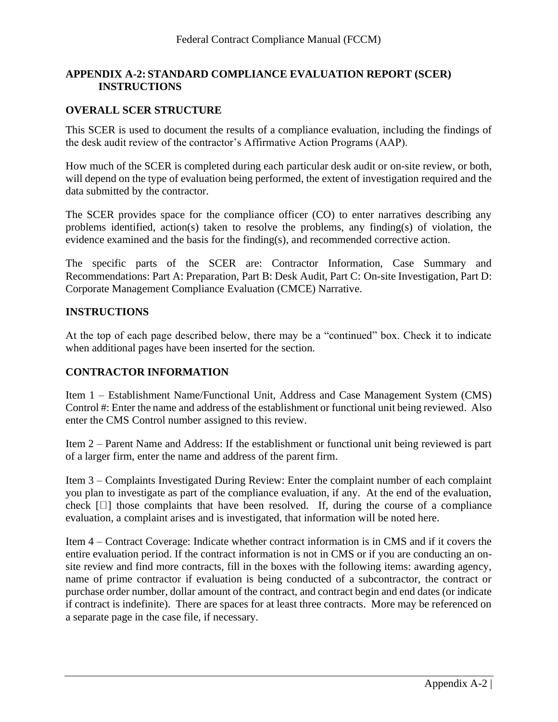# **APPENDIX A-2: STANDARD COMPLIANCE EVALUATION REPORT (SCER) INSTRUCTIONS**

### **OVERALL SCER STRUCTURE**

This SCER is used to document the results of a compliance evaluation, including the findings of the desk audit review of the contractor's Affirmative Action Programs (AAP).

How much of the SCER is completed during each particular desk audit or on-site review, or both, will depend on the type of evaluation being performed, the extent of investigation required and the data submitted by the contractor.

The SCER provides space for the compliance officer (CO) to enter narratives describing any problems identified, action(s) taken to resolve the problems, any finding(s) of violation, the evidence examined and the basis for the finding(s), and recommended corrective action.

The specific parts of the SCER are: Contractor Information, Case Summary and Recommendations: Part A: Preparation, Part B: Desk Audit, Part C: On-site Investigation, Part D: Corporate Management Compliance Evaluation (CMCE) Narrative.

#### **INSTRUCTIONS**

At the top of each page described below, there may be a "continued" box. Check it to indicate when additional pages have been inserted for the section.

# **CONTRACTOR INFORMATION**

Item 1 – Establishment Name/Functional Unit, Address and Case Management System (CMS) Control #: Enter the name and address of the establishment or functional unit being reviewed. Also enter the CMS Control number assigned to this review.

Item 2 – Parent Name and Address: If the establishment or functional unit being reviewed is part of a larger firm, enter the name and address of the parent firm.

Item 3 – Complaints Investigated During Review: Enter the complaint number of each complaint you plan to investigate as part of the compliance evaluation, if any. At the end of the evaluation, check  $[\Box]$  those complaints that have been resolved. If, during the course of a compliance evaluation, a complaint arises and is investigated, that information will be noted here.

Item 4 – Contract Coverage: Indicate whether contract information is in CMS and if it covers the entire evaluation period. If the contract information is not in CMS or if you are conducting an onsite review and find more contracts, fill in the boxes with the following items: awarding agency, name of prime contractor if evaluation is being conducted of a subcontractor, the contract or purchase order number, dollar amount of the contract, and contract begin and end dates (or indicate if contract is indefinite). There are spaces for at least three contracts. More may be referenced on a separate page in the case file, if necessary.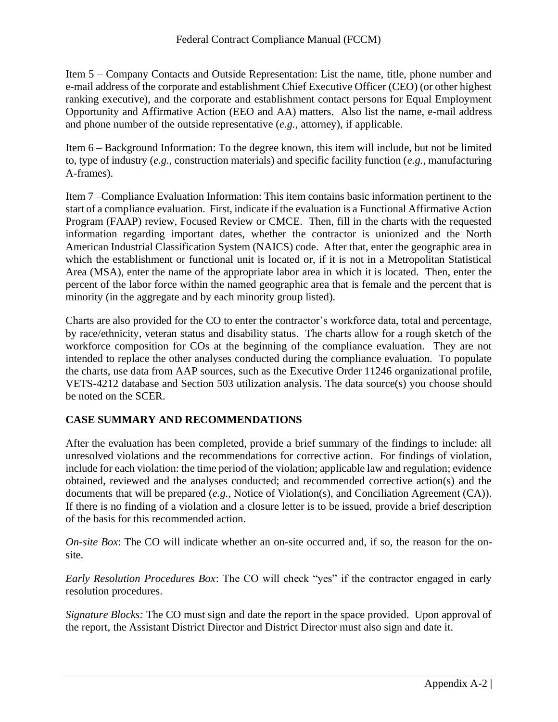Item 5 – Company Contacts and Outside Representation: List the name, title, phone number and e-mail address of the corporate and establishment Chief Executive Officer (CEO) (or other highest ranking executive), and the corporate and establishment contact persons for Equal Employment Opportunity and Affirmative Action (EEO and AA) matters. Also list the name, e-mail address and phone number of the outside representative (*e.g.,* attorney), if applicable.

Item 6 – Background Information: To the degree known, this item will include, but not be limited to, type of industry (*e.g.,* construction materials) and specific facility function (*e.g.,* manufacturing A-frames).

Item 7 –Compliance Evaluation Information: This item contains basic information pertinent to the start of a compliance evaluation. First, indicate if the evaluation is a Functional Affirmative Action Program (FAAP) review, Focused Review or CMCE. Then, fill in the charts with the requested information regarding important dates, whether the contractor is unionized and the North American Industrial Classification System (NAICS) code. After that, enter the geographic area in which the establishment or functional unit is located or, if it is not in a Metropolitan Statistical Area (MSA), enter the name of the appropriate labor area in which it is located. Then, enter the percent of the labor force within the named geographic area that is female and the percent that is minority (in the aggregate and by each minority group listed).

Charts are also provided for the CO to enter the contractor's workforce data, total and percentage, by race/ethnicity, veteran status and disability status. The charts allow for a rough sketch of the workforce composition for COs at the beginning of the compliance evaluation. They are not intended to replace the other analyses conducted during the compliance evaluation. To populate the charts, use data from AAP sources, such as the Executive Order 11246 organizational profile, VETS-4212 database and Section 503 utilization analysis. The data source(s) you choose should be noted on the SCER.

# **CASE SUMMARY AND RECOMMENDATIONS**

After the evaluation has been completed, provide a brief summary of the findings to include: all unresolved violations and the recommendations for corrective action. For findings of violation, include for each violation: the time period of the violation; applicable law and regulation; evidence obtained, reviewed and the analyses conducted; and recommended corrective action(s) and the documents that will be prepared (*e.g.,* Notice of Violation(s), and Conciliation Agreement (CA)). If there is no finding of a violation and a closure letter is to be issued, provide a brief description of the basis for this recommended action.

*On-site Box*: The CO will indicate whether an on-site occurred and, if so, the reason for the onsite.

*Early Resolution Procedures Box*: The CO will check "yes" if the contractor engaged in early resolution procedures.

*Signature Blocks:* The CO must sign and date the report in the space provided. Upon approval of the report, the Assistant District Director and District Director must also sign and date it.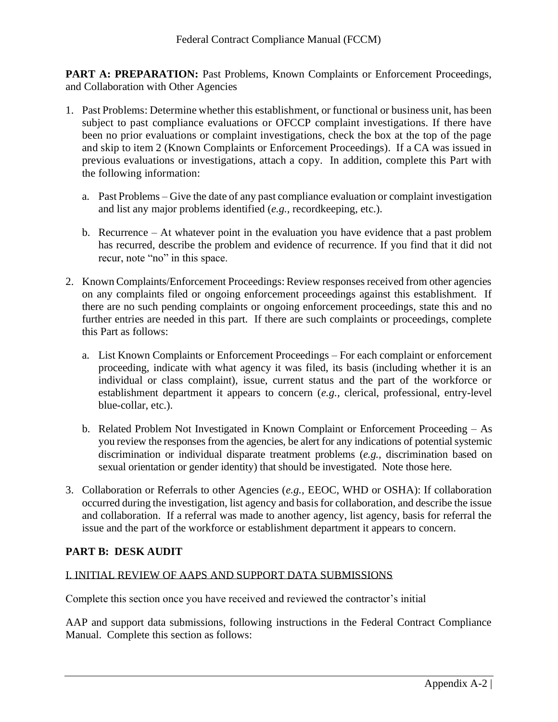PART A: PREPARATION: Past Problems, Known Complaints or Enforcement Proceedings, and Collaboration with Other Agencies

- 1. Past Problems: Determine whether this establishment, or functional or business unit, has been subject to past compliance evaluations or OFCCP complaint investigations. If there have been no prior evaluations or complaint investigations, check the box at the top of the page and skip to item 2 (Known Complaints or Enforcement Proceedings). If a CA was issued in previous evaluations or investigations, attach a copy. In addition, complete this Part with the following information:
	- a. Past Problems Give the date of any past compliance evaluation or complaint investigation and list any major problems identified (*e.g.,* recordkeeping, etc.).
	- b. Recurrence At whatever point in the evaluation you have evidence that a past problem has recurred, describe the problem and evidence of recurrence. If you find that it did not recur, note "no" in this space.
- 2. Known Complaints/Enforcement Proceedings: Review responses received from other agencies on any complaints filed or ongoing enforcement proceedings against this establishment. If there are no such pending complaints or ongoing enforcement proceedings, state this and no further entries are needed in this part. If there are such complaints or proceedings, complete this Part as follows:
	- a. List Known Complaints or Enforcement Proceedings For each complaint or enforcement proceeding, indicate with what agency it was filed, its basis (including whether it is an individual or class complaint), issue, current status and the part of the workforce or establishment department it appears to concern (*e.g.,* clerical, professional, entry-level blue-collar, etc.).
	- b. Related Problem Not Investigated in Known Complaint or Enforcement Proceeding As you review the responses from the agencies, be alert for any indications of potential systemic discrimination or individual disparate treatment problems (*e.g.,* discrimination based on sexual orientation or gender identity) that should be investigated. Note those here.
- 3. Collaboration or Referrals to other Agencies (*e.g.,* EEOC, WHD or OSHA): If collaboration occurred during the investigation, list agency and basis for collaboration, and describe the issue and collaboration. If a referral was made to another agency, list agency, basis for referral the issue and the part of the workforce or establishment department it appears to concern.

# **PART B: DESK AUDIT**

# I. INITIAL REVIEW OF AAPS AND SUPPORT DATA SUBMISSIONS

Complete this section once you have received and reviewed the contractor's initial

AAP and support data submissions, following instructions in the Federal Contract Compliance Manual. Complete this section as follows: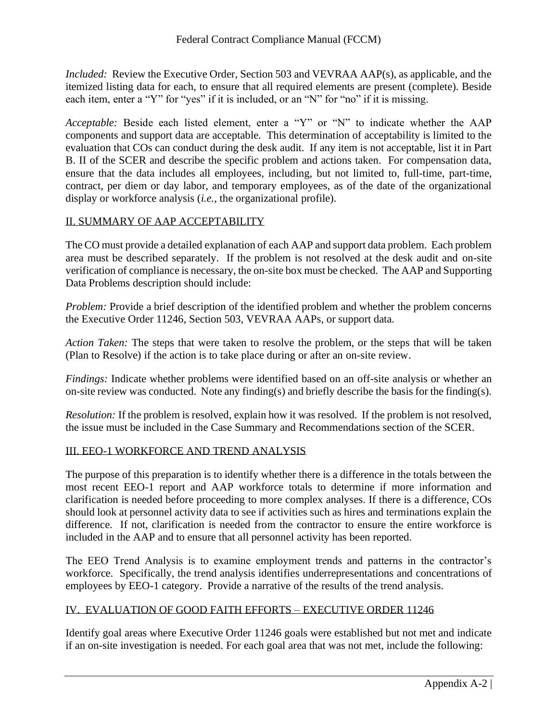*Included:* Review the Executive Order, Section 503 and VEVRAA AAP(s), as applicable, and the itemized listing data for each, to ensure that all required elements are present (complete). Beside each item, enter a "Y" for "yes" if it is included, or an "N" for "no" if it is missing.

*Acceptable:* Beside each listed element, enter a "Y" or "N" to indicate whether the AAP components and support data are acceptable. This determination of acceptability is limited to the evaluation that COs can conduct during the desk audit. If any item is not acceptable, list it in Part B. II of the SCER and describe the specific problem and actions taken. For compensation data, ensure that the data includes all employees, including, but not limited to, full-time, part-time, contract, per diem or day labor, and temporary employees, as of the date of the organizational display or workforce analysis (*i.e.*, the organizational profile).

# II. SUMMARY OF AAP ACCEPTABILITY

The CO must provide a detailed explanation of each AAP and support data problem. Each problem area must be described separately. If the problem is not resolved at the desk audit and on-site verification of compliance is necessary, the on-site box must be checked. The AAP and Supporting Data Problems description should include:

*Problem:* Provide a brief description of the identified problem and whether the problem concerns the Executive Order 11246, Section 503, VEVRAA AAPs, or support data.

*Action Taken:* The steps that were taken to resolve the problem, or the steps that will be taken (Plan to Resolve) if the action is to take place during or after an on-site review.

*Findings:* Indicate whether problems were identified based on an off-site analysis or whether an on-site review was conducted. Note any finding(s) and briefly describe the basis for the finding(s).

*Resolution:* If the problem is resolved, explain how it was resolved. If the problem is not resolved, the issue must be included in the Case Summary and Recommendations section of the SCER.

#### III. EEO-1 WORKFORCE AND TREND ANALYSIS

The purpose of this preparation is to identify whether there is a difference in the totals between the most recent EEO-1 report and AAP workforce totals to determine if more information and clarification is needed before proceeding to more complex analyses. If there is a difference, COs should look at personnel activity data to see if activities such as hires and terminations explain the difference. If not, clarification is needed from the contractor to ensure the entire workforce is included in the AAP and to ensure that all personnel activity has been reported.

The EEO Trend Analysis is to examine employment trends and patterns in the contractor's workforce. Specifically, the trend analysis identifies underrepresentations and concentrations of employees by EEO-1 category. Provide a narrative of the results of the trend analysis.

# IV. EVALUATION OF GOOD FAITH EFFORTS – EXECUTIVE ORDER 11246

Identify goal areas where Executive Order 11246 goals were established but not met and indicate if an on-site investigation is needed. For each goal area that was not met, include the following: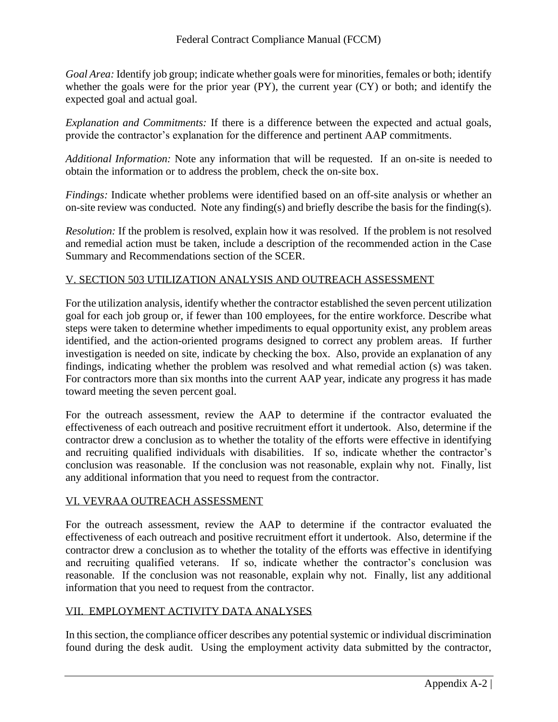*Goal Area:* Identify job group; indicate whether goals were for minorities, females or both; identify whether the goals were for the prior year (PY), the current year (CY) or both; and identify the expected goal and actual goal.

*Explanation and Commitments:* If there is a difference between the expected and actual goals, provide the contractor's explanation for the difference and pertinent AAP commitments.

*Additional Information:* Note any information that will be requested. If an on-site is needed to obtain the information or to address the problem, check the on-site box.

*Findings:* Indicate whether problems were identified based on an off-site analysis or whether an on-site review was conducted. Note any finding(s) and briefly describe the basis for the finding(s).

*Resolution:* If the problem is resolved, explain how it was resolved. If the problem is not resolved and remedial action must be taken, include a description of the recommended action in the Case Summary and Recommendations section of the SCER.

# V. SECTION 503 UTILIZATION ANALYSIS AND OUTREACH ASSESSMENT

For the utilization analysis, identify whether the contractor established the seven percent utilization goal for each job group or, if fewer than 100 employees, for the entire workforce. Describe what steps were taken to determine whether impediments to equal opportunity exist, any problem areas identified, and the action-oriented programs designed to correct any problem areas. If further investigation is needed on site, indicate by checking the box. Also, provide an explanation of any findings, indicating whether the problem was resolved and what remedial action (s) was taken. For contractors more than six months into the current AAP year, indicate any progress it has made toward meeting the seven percent goal.

For the outreach assessment, review the AAP to determine if the contractor evaluated the effectiveness of each outreach and positive recruitment effort it undertook. Also, determine if the contractor drew a conclusion as to whether the totality of the efforts were effective in identifying and recruiting qualified individuals with disabilities. If so, indicate whether the contractor's conclusion was reasonable. If the conclusion was not reasonable, explain why not. Finally, list any additional information that you need to request from the contractor.

# VI. VEVRAA OUTREACH ASSESSMENT

For the outreach assessment, review the AAP to determine if the contractor evaluated the effectiveness of each outreach and positive recruitment effort it undertook. Also, determine if the contractor drew a conclusion as to whether the totality of the efforts was effective in identifying and recruiting qualified veterans. If so, indicate whether the contractor's conclusion was reasonable. If the conclusion was not reasonable, explain why not. Finally, list any additional information that you need to request from the contractor.

# VII. EMPLOYMENT ACTIVITY DATA ANALYSES

In this section, the compliance officer describes any potential systemic or individual discrimination found during the desk audit. Using the employment activity data submitted by the contractor,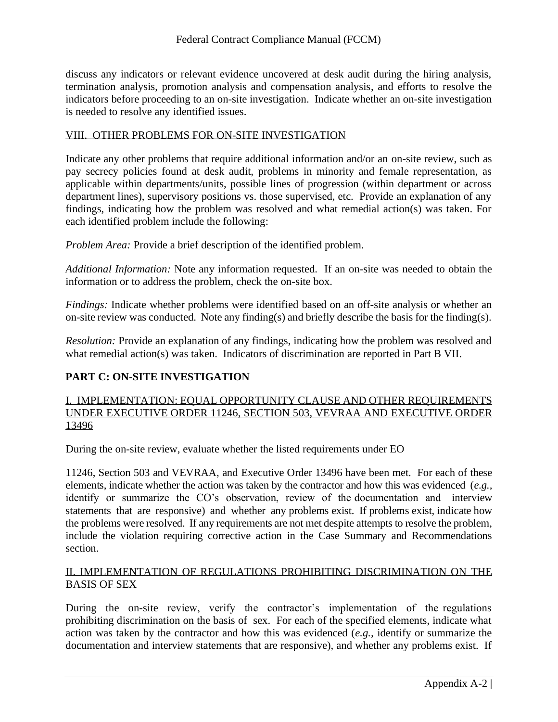discuss any indicators or relevant evidence uncovered at desk audit during the hiring analysis, termination analysis, promotion analysis and compensation analysis, and efforts to resolve the indicators before proceeding to an on-site investigation. Indicate whether an on-site investigation is needed to resolve any identified issues.

#### VIII. OTHER PROBLEMS FOR ON-SITE INVESTIGATION

Indicate any other problems that require additional information and/or an on-site review, such as pay secrecy policies found at desk audit, problems in minority and female representation, as applicable within departments/units, possible lines of progression (within department or across department lines), supervisory positions vs. those supervised, etc. Provide an explanation of any findings, indicating how the problem was resolved and what remedial action(s) was taken. For each identified problem include the following:

*Problem Area:* Provide a brief description of the identified problem.

*Additional Information:* Note any information requested. If an on-site was needed to obtain the information or to address the problem, check the on-site box.

*Findings:* Indicate whether problems were identified based on an off-site analysis or whether an on-site review was conducted. Note any finding(s) and briefly describe the basis for the finding(s).

*Resolution:* Provide an explanation of any findings, indicating how the problem was resolved and what remedial action(s) was taken. Indicators of discrimination are reported in Part B VII.

# **PART C: ON-SITE INVESTIGATION**

### I. IMPLEMENTATION: EQUAL OPPORTUNITY CLAUSE AND OTHER REQUIREMENTS UNDER EXECUTIVE ORDER 11246, SECTION 503, VEVRAA AND EXECUTIVE ORDER 13496

During the on-site review, evaluate whether the listed requirements under EO

11246, Section 503 and VEVRAA, and Executive Order 13496 have been met. For each of these elements, indicate whether the action was taken by the contractor and how this was evidenced (*e.g.,* identify or summarize the CO's observation, review of the documentation and interview statements that are responsive) and whether any problems exist. If problems exist, indicate how the problems were resolved. If any requirements are not met despite attempts to resolve the problem, include the violation requiring corrective action in the Case Summary and Recommendations section.

### II. IMPLEMENTATION OF REGULATIONS PROHIBITING DISCRIMINATION ON THE BASIS OF SEX

During the on-site review, verify the contractor's implementation of the regulations prohibiting discrimination on the basis of sex. For each of the specified elements, indicate what action was taken by the contractor and how this was evidenced (*e.g.,* identify or summarize the documentation and interview statements that are responsive), and whether any problems exist. If